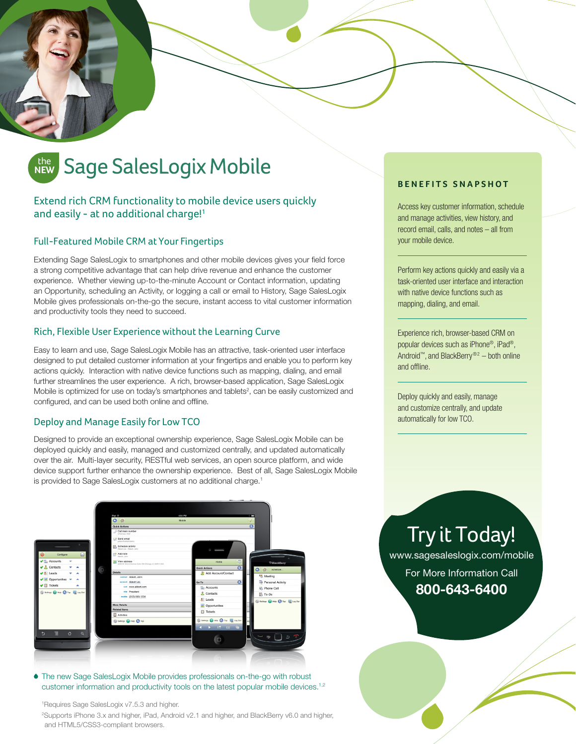# the **NEW**

# Extend rich CRM functionality to mobile device users quickly and easily - at no additional charge!<sup>1</sup>

## Full-Featured Mobile CRM at Your Fingertips

Extending Sage SalesLogix to smartphones and other mobile devices gives your field force a strong competitive advantage that can help drive revenue and enhance the customer experience. Whether viewing up-to-the-minute Account or Contact information, updating an Opportunity, scheduling an Activity, or logging a call or email to History, Sage SalesLogix Mobile gives professionals on-the-go the secure, instant access to vital customer information and productivity tools they need to succeed.

### Rich, Flexible User Experience without the Learning Curve

Easy to learn and use, Sage SalesLogix Mobile has an attractive, task-oriented user interface designed to put detailed customer information at your fingertips and enable you to perform key actions quickly. Interaction with native device functions such as mapping, dialing, and email further streamlines the user experience. A rich, browser-based application, Sage SalesLogix Mobile is optimized for use on today's smartphones and tablets<sup>2</sup>, can be easily customized and configured, and can be used both online and offline.

### Deploy and Manage Easily for Low TCO

Designed to provide an exceptional ownership experience, Sage SalesLogix Mobile can be deployed quickly and easily, managed and customized centrally, and updated automatically over the air. Multi-layer security, RESTful web services, an open source platform, and wide device support further enhance the ownership experience. Best of all, Sage SalesLogix Mobile is provided to Sage SalesLogix customers at no additional charge.<sup>1</sup>

## **BENEFITS SNAPSHOT**

Access key customer information, schedule and manage activities, view history, and record email, calls, and notes – all from your mobile device.

Perform key actions quickly and easily via a task-oriented user interface and interaction with native device functions such as mapping, dialing, and email.

Experience rich, browser-based CRM on popular devices such as iPhone®, iPad®, Android™, and BlackBerry®2 – both online and offline.

Deploy quickly and easily, manage and customize centrally, and update automatically for low TCO.



The new Sage SalesLogix Mobile provides professionals on-the-go with robust customer information and productivity tools on the latest popular mobile devices.<sup>1,2</sup>

1 Requires Sage SalesLogix v7.5.3 and higher.

2 Supports iPhone 3.x and higher, iPad, Android v2.1 and higher, and BlackBerry v6.0 and higher, and HTML5/CSS3-compliant browsers.

Try it Today! www.sagesaleslogix.com/mobile For More Information Call **800-643-6400**